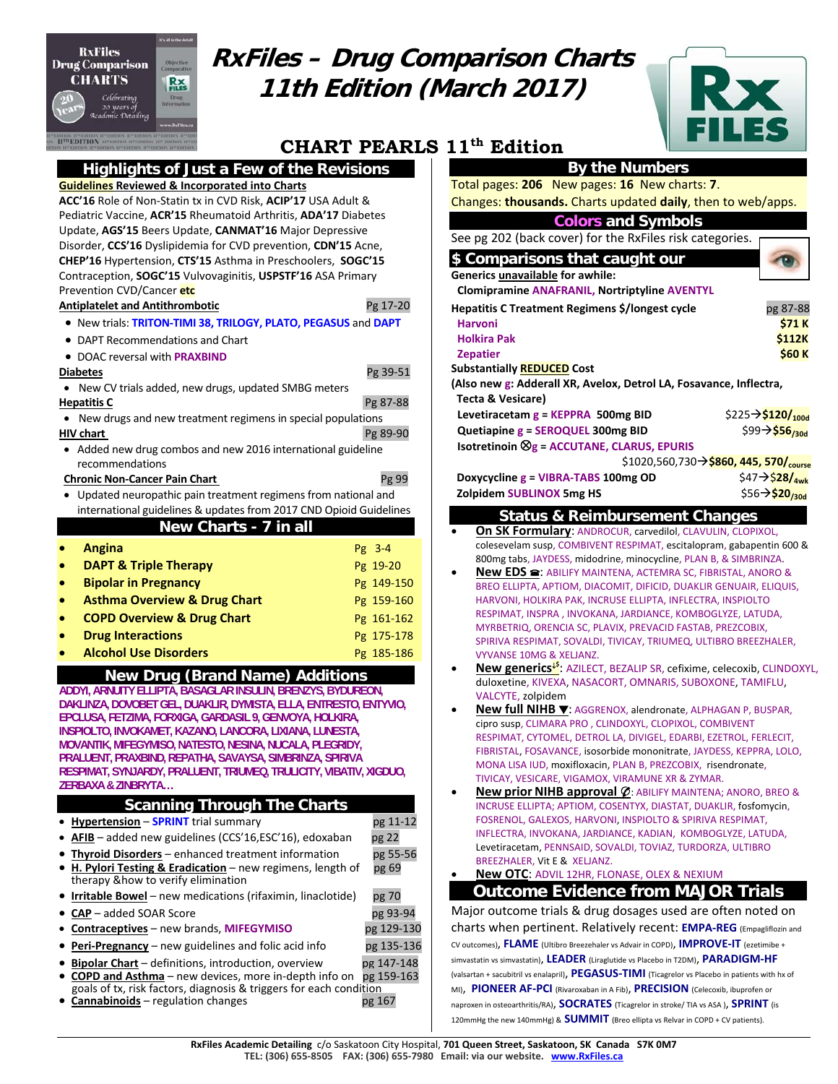